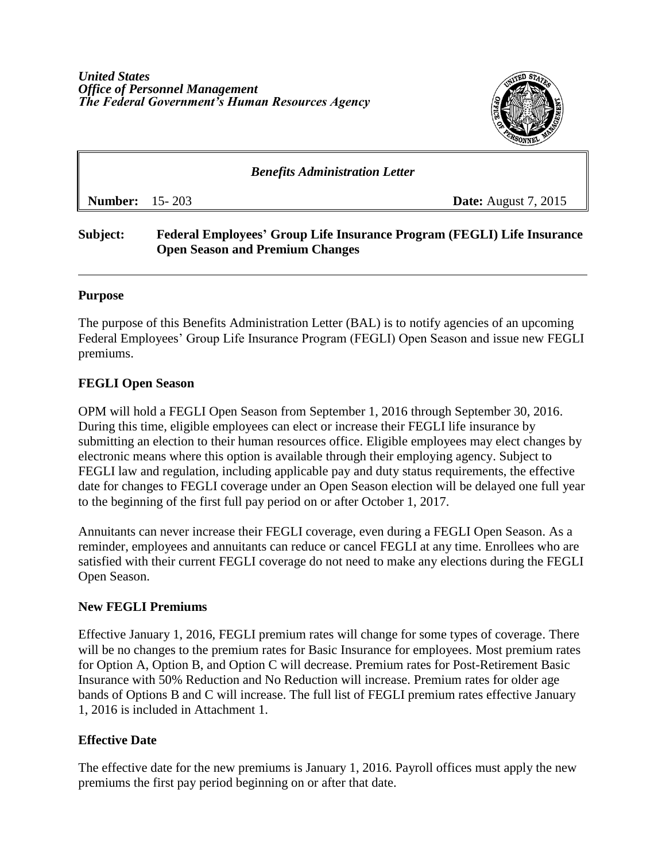

# *Benefits Administration Letter* **Number:** 15- 203 **Date:** August 7, 2015

# **Subject: Federal Employees' Group Life Insurance Program (FEGLI) Life Insurance Open Season and Premium Changes**

#### **Purpose**

The purpose of this Benefits Administration Letter (BAL) is to notify agencies of an upcoming Federal Employees' Group Life Insurance Program (FEGLI) Open Season and issue new FEGLI premiums.

# **FEGLI Open Season**

OPM will hold a FEGLI Open Season from September 1, 2016 through September 30, 2016. During this time, eligible employees can elect or increase their FEGLI life insurance by submitting an election to their human resources office. Eligible employees may elect changes by electronic means where this option is available through their employing agency. Subject to FEGLI law and regulation, including applicable pay and duty status requirements, the effective date for changes to FEGLI coverage under an Open Season election will be delayed one full year to the beginning of the first full pay period on or after October 1, 2017.

Annuitants can never increase their FEGLI coverage, even during a FEGLI Open Season. As a reminder, employees and annuitants can reduce or cancel FEGLI at any time. Enrollees who are satisfied with their current FEGLI coverage do not need to make any elections during the FEGLI Open Season.

#### **New FEGLI Premiums**

Effective January 1, 2016, FEGLI premium rates will change for some types of coverage. There will be no changes to the premium rates for Basic Insurance for employees. Most premium rates for Option A, Option B, and Option C will decrease. Premium rates for Post-Retirement Basic Insurance with 50% Reduction and No Reduction will increase. Premium rates for older age bands of Options B and C will increase. The full list of FEGLI premium rates effective January 1, 2016 is included in Attachment 1.

# **Effective Date**

The effective date for the new premiums is January 1, 2016. Payroll offices must apply the new premiums the first pay period beginning on or after that date.